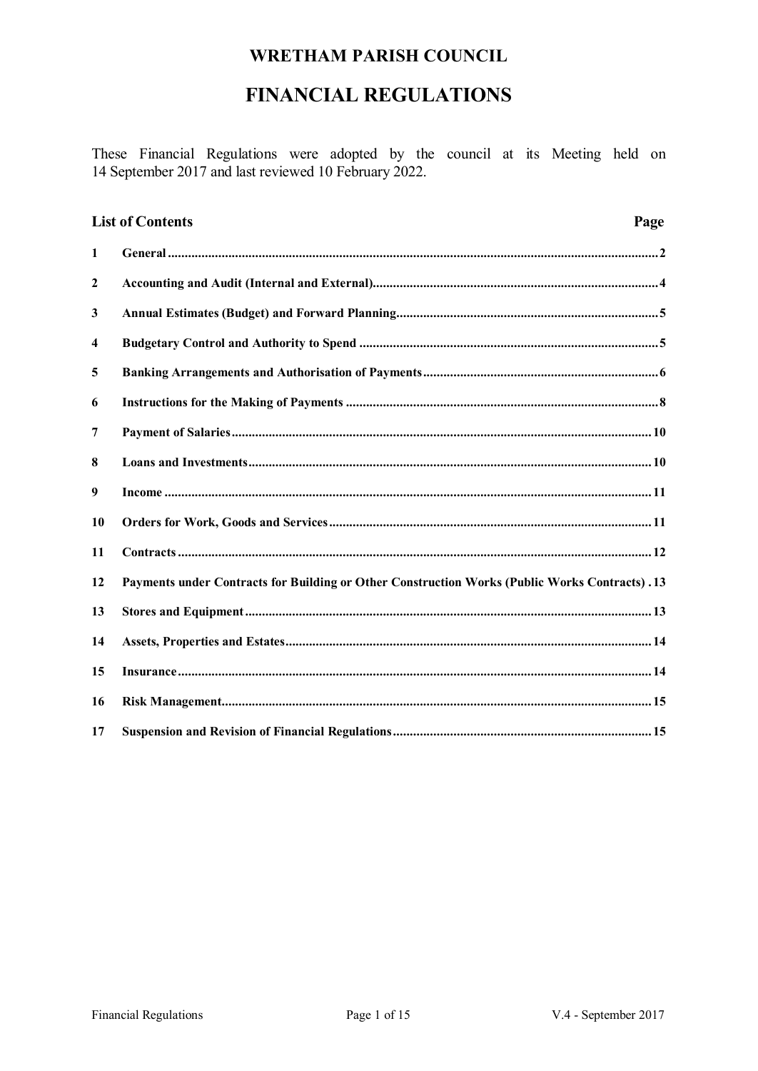# **FINANCIAL REGULATIONS**

These Financial Regulations were adopted by the council at its Meeting held on 14 September 2017 and last reviewed 10 February 2022.

|                         | <b>List of Contents</b><br>Page                                                                       |
|-------------------------|-------------------------------------------------------------------------------------------------------|
| $\mathbf{1}$            |                                                                                                       |
| $\boldsymbol{2}$        |                                                                                                       |
| 3                       |                                                                                                       |
| $\overline{\mathbf{4}}$ |                                                                                                       |
| 5                       |                                                                                                       |
| 6                       |                                                                                                       |
| 7                       |                                                                                                       |
| 8                       |                                                                                                       |
| 9                       |                                                                                                       |
| 10                      |                                                                                                       |
| 11                      |                                                                                                       |
| 12                      | <b>Payments under Contracts for Building or Other Construction Works (Public Works Contracts) .13</b> |
| 13                      |                                                                                                       |
| 14                      |                                                                                                       |
| 15                      |                                                                                                       |
| 16                      |                                                                                                       |
| 17                      |                                                                                                       |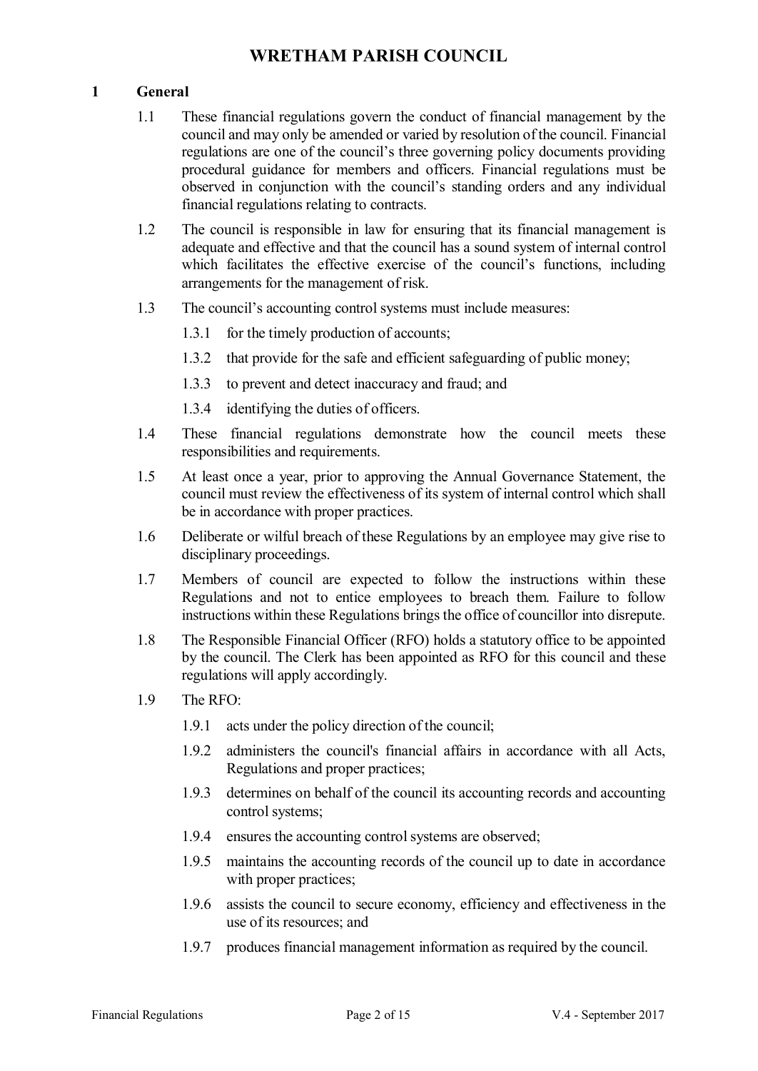### **1 General**

- 1.1 These financial regulations govern the conduct of financial management by the council and may only be amended or varied by resolution of the council. Financial regulations are one of the council's three governing policy documents providing procedural guidance for members and officers. Financial regulations must be observed in conjunction with the council's standing orders and any individual financial regulations relating to contracts.
- 1.2 The council is responsible in law for ensuring that its financial management is adequate and effective and that the council has a sound system of internal control which facilitates the effective exercise of the council's functions, including arrangements for the management of risk.
- 1.3 The council's accounting control systems must include measures:
	- 1.3.1 for the timely production of accounts;
	- 1.3.2 that provide for the safe and efficient safeguarding of public money;
	- 1.3.3 to prevent and detect inaccuracy and fraud; and
	- 1.3.4 identifying the duties of officers.
- 1.4 These financial regulations demonstrate how the council meets these responsibilities and requirements.
- 1.5 At least once a year, prior to approving the Annual Governance Statement, the council must review the effectiveness of its system of internal control which shall be in accordance with proper practices.
- 1.6 Deliberate or wilful breach of these Regulations by an employee may give rise to disciplinary proceedings.
- 1.7 Members of council are expected to follow the instructions within these Regulations and not to entice employees to breach them. Failure to follow instructions within these Regulations brings the office of councillor into disrepute.
- 1.8 The Responsible Financial Officer (RFO) holds a statutory office to be appointed by the council. The Clerk has been appointed as RFO for this council and these regulations will apply accordingly.
- 1.9 The RFO:
	- 1.9.1 acts under the policy direction of the council;
	- 1.9.2 administers the council's financial affairs in accordance with all Acts, Regulations and proper practices;
	- 1.9.3 determines on behalf of the council its accounting records and accounting control systems;
	- 1.9.4 ensures the accounting control systems are observed;
	- 1.9.5 maintains the accounting records of the council up to date in accordance with proper practices;
	- 1.9.6 assists the council to secure economy, efficiency and effectiveness in the use of its resources; and
	- 1.9.7 produces financial management information as required by the council.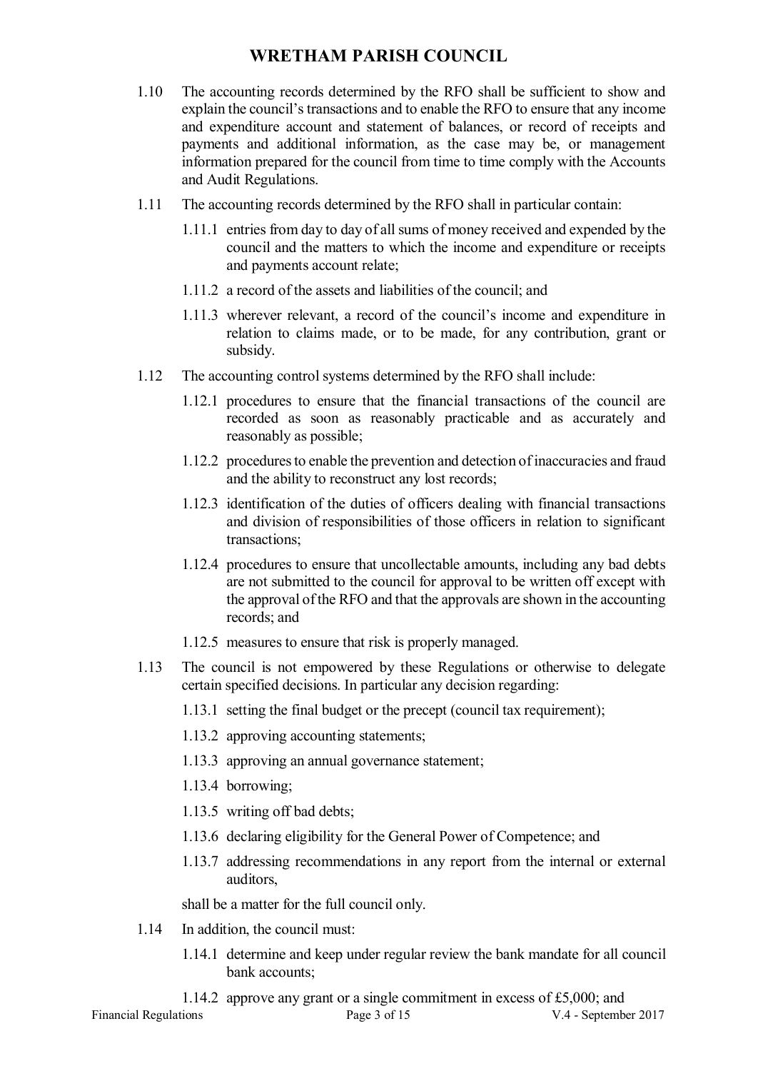- 1.10 The accounting records determined by the RFO shall be sufficient to show and explain the council's transactions and to enable the RFO to ensure that any income and expenditure account and statement of balances, or record of receipts and payments and additional information, as the case may be, or management information prepared for the council from time to time comply with the Accounts and Audit Regulations.
- 1.11 The accounting records determined by the RFO shall in particular contain:
	- 1.11.1 entries from day to day of all sums of money received and expended by the council and the matters to which the income and expenditure or receipts and payments account relate;
	- 1.11.2 a record of the assets and liabilities of the council; and
	- 1.11.3 wherever relevant, a record of the council's income and expenditure in relation to claims made, or to be made, for any contribution, grant or subsidy.
- 1.12 The accounting control systems determined by the RFO shall include:
	- 1.12.1 procedures to ensure that the financial transactions of the council are recorded as soon as reasonably practicable and as accurately and reasonably as possible;
	- 1.12.2 procedures to enable the prevention and detection of inaccuracies and fraud and the ability to reconstruct any lost records;
	- 1.12.3 identification of the duties of officers dealing with financial transactions and division of responsibilities of those officers in relation to significant transactions;
	- 1.12.4 procedures to ensure that uncollectable amounts, including any bad debts are not submitted to the council for approval to be written off except with the approval of the RFO and that the approvals are shown in the accounting records; and
	- 1.12.5 measures to ensure that risk is properly managed.
- 1.13 The council is not empowered by these Regulations or otherwise to delegate certain specified decisions. In particular any decision regarding:
	- 1.13.1 setting the final budget or the precept (council tax requirement);
	- 1.13.2 approving accounting statements;
	- 1.13.3 approving an annual governance statement;
	- 1.13.4 borrowing;
	- 1.13.5 writing off bad debts;
	- 1.13.6 declaring eligibility for the General Power of Competence; and
	- 1.13.7 addressing recommendations in any report from the internal or external auditors,

shall be a matter for the full council only.

- 1.14 In addition, the council must:
	- 1.14.1 determine and keep under regular review the bank mandate for all council bank accounts;
	- 1.14.2 approve any grant or a single commitment in excess of £5,000; and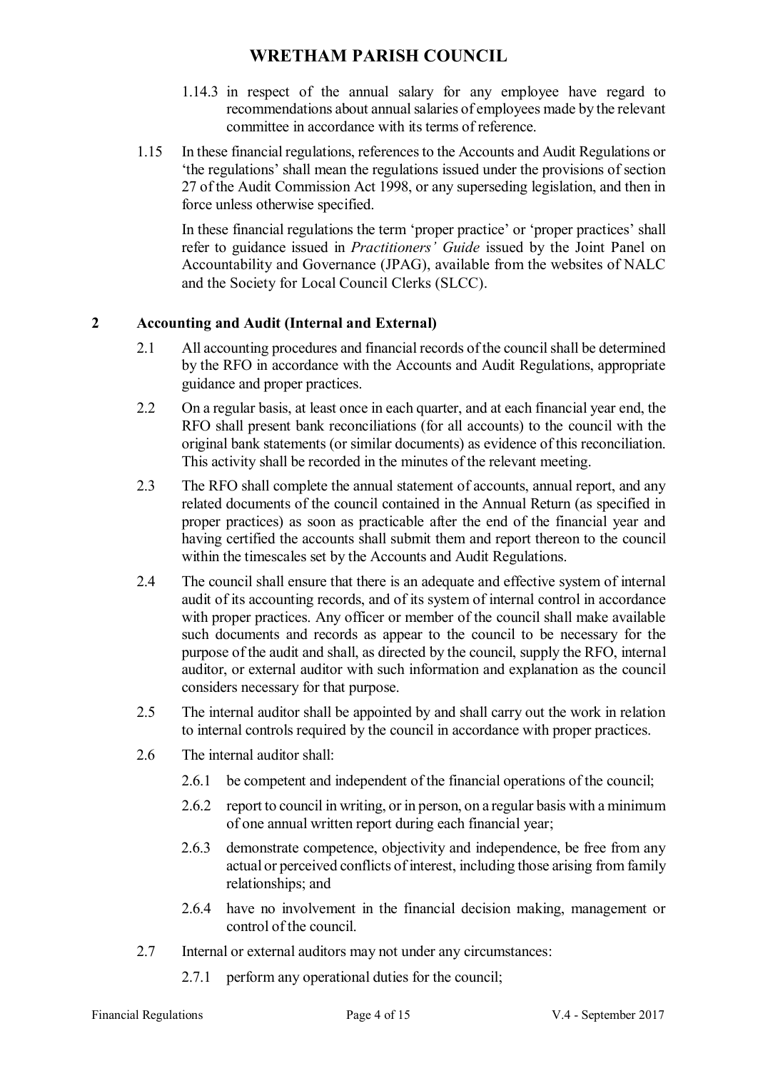- 1.14.3 in respect of the annual salary for any employee have regard to recommendations about annual salaries of employees made by the relevant committee in accordance with its terms of reference.
- 1.15 In these financial regulations, references to the Accounts and Audit Regulations or 'the regulations' shall mean the regulations issued under the provisions of section 27 of the Audit Commission Act 1998, or any superseding legislation, and then in force unless otherwise specified.

In these financial regulations the term 'proper practice' or 'proper practices' shall refer to guidance issued in *Practitioners' Guide* issued by the Joint Panel on Accountability and Governance (JPAG), available from the websites of NALC and the Society for Local Council Clerks (SLCC).

### **2 Accounting and Audit (Internal and External)**

- 2.1 All accounting procedures and financial records of the council shall be determined by the RFO in accordance with the Accounts and Audit Regulations, appropriate guidance and proper practices.
- 2.2 On a regular basis, at least once in each quarter, and at each financial year end, the RFO shall present bank reconciliations (for all accounts) to the council with the original bank statements (or similar documents) as evidence of this reconciliation. This activity shall be recorded in the minutes of the relevant meeting.
- 2.3 The RFO shall complete the annual statement of accounts, annual report, and any related documents of the council contained in the Annual Return (as specified in proper practices) as soon as practicable after the end of the financial year and having certified the accounts shall submit them and report thereon to the council within the timescales set by the Accounts and Audit Regulations.
- 2.4 The council shall ensure that there is an adequate and effective system of internal audit of its accounting records, and of its system of internal control in accordance with proper practices. Any officer or member of the council shall make available such documents and records as appear to the council to be necessary for the purpose of the audit and shall, as directed by the council, supply the RFO, internal auditor, or external auditor with such information and explanation as the council considers necessary for that purpose.
- 2.5 The internal auditor shall be appointed by and shall carry out the work in relation to internal controls required by the council in accordance with proper practices.
- 2.6 The internal auditor shall:
	- 2.6.1 be competent and independent of the financial operations of the council;
	- 2.6.2 report to council in writing, or in person, on a regular basis with a minimum of one annual written report during each financial year;
	- 2.6.3 demonstrate competence, objectivity and independence, be free from any actual or perceived conflicts of interest, including those arising from family relationships; and
	- 2.6.4 have no involvement in the financial decision making, management or control of the council.
- 2.7 Internal or external auditors may not under any circumstances:
	- 2.7.1 perform any operational duties for the council;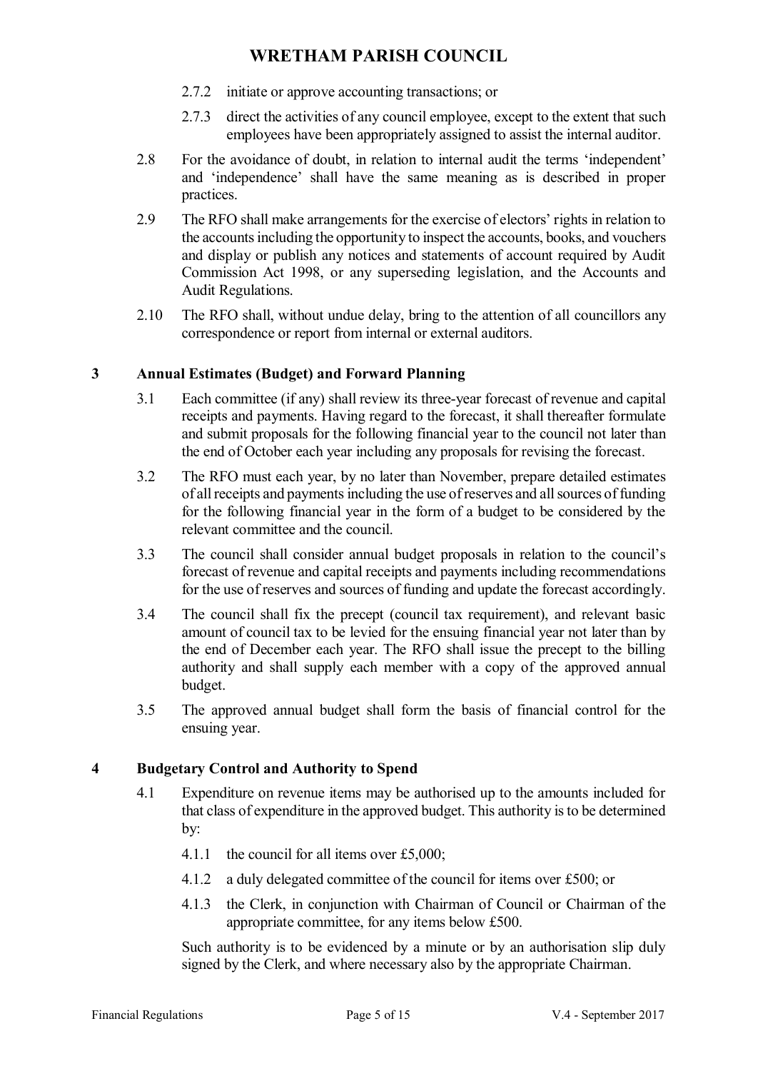- 2.7.2 initiate or approve accounting transactions; or
- 2.7.3 direct the activities of any council employee, except to the extent that such employees have been appropriately assigned to assist the internal auditor.
- 2.8 For the avoidance of doubt, in relation to internal audit the terms 'independent' and 'independence' shall have the same meaning as is described in proper practices.
- 2.9 The RFO shall make arrangements for the exercise of electors' rights in relation to the accounts including the opportunity to inspect the accounts, books, and vouchers and display or publish any notices and statements of account required by Audit Commission Act 1998, or any superseding legislation, and the Accounts and Audit Regulations.
- 2.10 The RFO shall, without undue delay, bring to the attention of all councillors any correspondence or report from internal or external auditors.

### **3 Annual Estimates (Budget) and Forward Planning**

- 3.1 Each committee (if any) shall review its three-year forecast of revenue and capital receipts and payments. Having regard to the forecast, it shall thereafter formulate and submit proposals for the following financial year to the council not later than the end of October each year including any proposals for revising the forecast.
- 3.2 The RFO must each year, by no later than November, prepare detailed estimates of all receipts and payments including the use of reserves and all sources of funding for the following financial year in the form of a budget to be considered by the relevant committee and the council.
- 3.3 The council shall consider annual budget proposals in relation to the council's forecast of revenue and capital receipts and payments including recommendations for the use of reserves and sources of funding and update the forecast accordingly.
- 3.4 The council shall fix the precept (council tax requirement), and relevant basic amount of council tax to be levied for the ensuing financial year not later than by the end of December each year. The RFO shall issue the precept to the billing authority and shall supply each member with a copy of the approved annual budget.
- 3.5 The approved annual budget shall form the basis of financial control for the ensuing year.

### **4 Budgetary Control and Authority to Spend**

- 4.1 Expenditure on revenue items may be authorised up to the amounts included for that class of expenditure in the approved budget. This authority is to be determined by:
	- 4.1.1 the council for all items over £5,000;
	- 4.1.2 a duly delegated committee of the council for items over £500; or
	- 4.1.3 the Clerk, in conjunction with Chairman of Council or Chairman of the appropriate committee, for any items below £500.

Such authority is to be evidenced by a minute or by an authorisation slip duly signed by the Clerk, and where necessary also by the appropriate Chairman.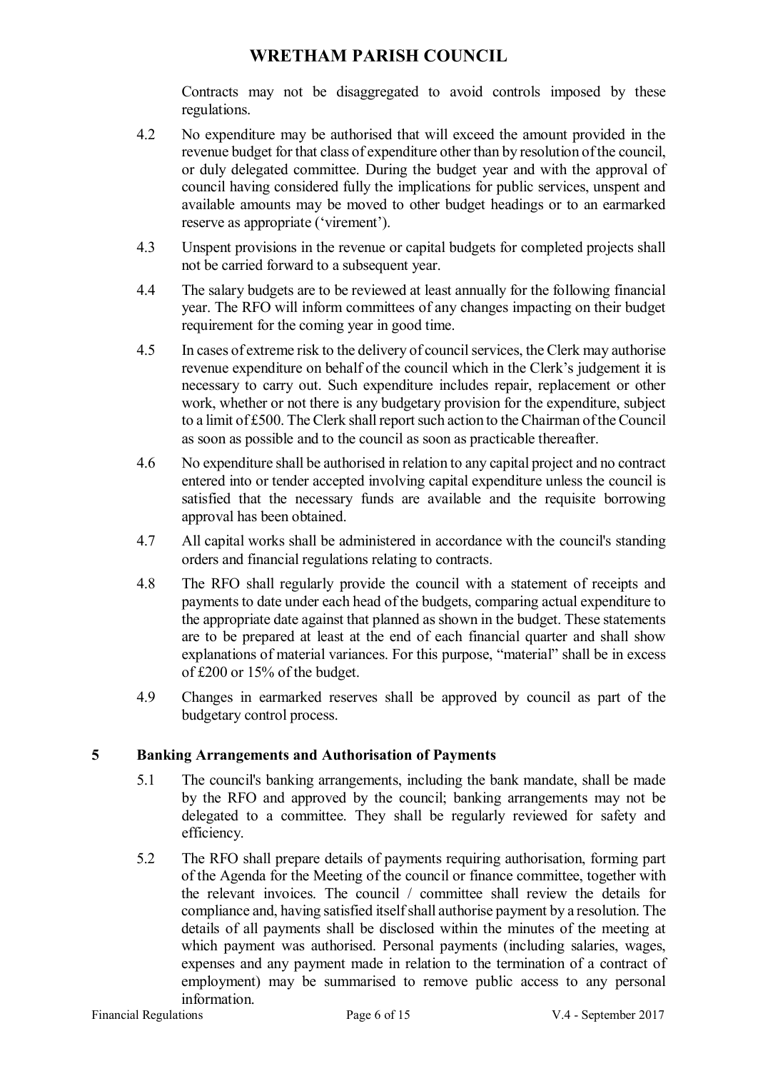Contracts may not be disaggregated to avoid controls imposed by these regulations.

- 4.2 No expenditure may be authorised that will exceed the amount provided in the revenue budget for that class of expenditure other than by resolution of the council, or duly delegated committee. During the budget year and with the approval of council having considered fully the implications for public services, unspent and available amounts may be moved to other budget headings or to an earmarked reserve as appropriate ('virement').
- 4.3 Unspent provisions in the revenue or capital budgets for completed projects shall not be carried forward to a subsequent year.
- 4.4 The salary budgets are to be reviewed at least annually for the following financial year. The RFO will inform committees of any changes impacting on their budget requirement for the coming year in good time.
- 4.5 In cases of extreme risk to the delivery of council services, the Clerk may authorise revenue expenditure on behalf of the council which in the Clerk's judgement it is necessary to carry out. Such expenditure includes repair, replacement or other work, whether or not there is any budgetary provision for the expenditure, subject to a limit of £500. The Clerk shall report such action to the Chairman of the Council as soon as possible and to the council as soon as practicable thereafter.
- 4.6 No expenditure shall be authorised in relation to any capital project and no contract entered into or tender accepted involving capital expenditure unless the council is satisfied that the necessary funds are available and the requisite borrowing approval has been obtained.
- 4.7 All capital works shall be administered in accordance with the council's standing orders and financial regulations relating to contracts.
- 4.8 The RFO shall regularly provide the council with a statement of receipts and payments to date under each head of the budgets, comparing actual expenditure to the appropriate date against that planned as shown in the budget. These statements are to be prepared at least at the end of each financial quarter and shall show explanations of material variances. For this purpose, "material" shall be in excess of £200 or 15% of the budget.
- 4.9 Changes in earmarked reserves shall be approved by council as part of the budgetary control process.

#### **5 Banking Arrangements and Authorisation of Payments**

- 5.1 The council's banking arrangements, including the bank mandate, shall be made by the RFO and approved by the council; banking arrangements may not be delegated to a committee. They shall be regularly reviewed for safety and efficiency.
- 5.2 The RFO shall prepare details of payments requiring authorisation, forming part of the Agenda for the Meeting of the council or finance committee, together with the relevant invoices. The council / committee shall review the details for compliance and, having satisfied itself shall authorise payment by a resolution. The details of all payments shall be disclosed within the minutes of the meeting at which payment was authorised. Personal payments (including salaries, wages, expenses and any payment made in relation to the termination of a contract of employment) may be summarised to remove public access to any personal information.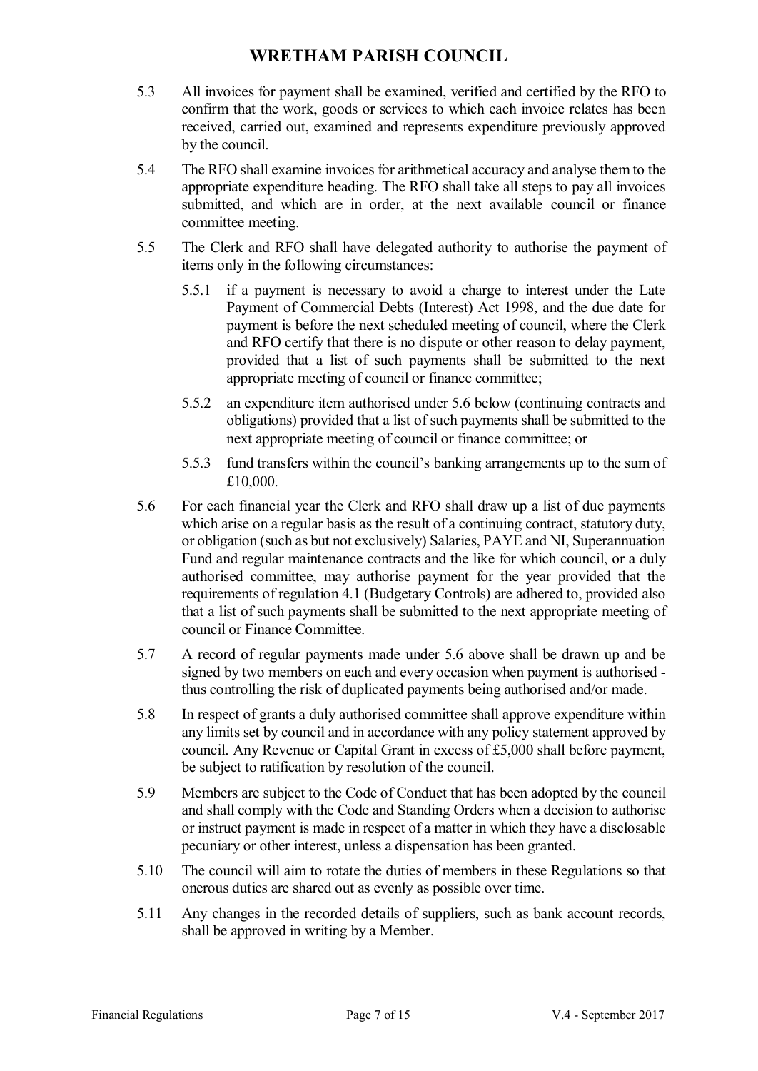- 5.3 All invoices for payment shall be examined, verified and certified by the RFO to confirm that the work, goods or services to which each invoice relates has been received, carried out, examined and represents expenditure previously approved by the council.
- 5.4 The RFO shall examine invoices for arithmetical accuracy and analyse them to the appropriate expenditure heading. The RFO shall take all steps to pay all invoices submitted, and which are in order, at the next available council or finance committee meeting.
- 5.5 The Clerk and RFO shall have delegated authority to authorise the payment of items only in the following circumstances:
	- 5.5.1 if a payment is necessary to avoid a charge to interest under the Late Payment of Commercial Debts (Interest) Act 1998, and the due date for payment is before the next scheduled meeting of council, where the Clerk and RFO certify that there is no dispute or other reason to delay payment, provided that a list of such payments shall be submitted to the next appropriate meeting of council or finance committee;
	- 5.5.2 an expenditure item authorised under 5.6 below (continuing contracts and obligations) provided that a list of such payments shall be submitted to the next appropriate meeting of council or finance committee; or
	- 5.5.3 fund transfers within the council's banking arrangements up to the sum of £10,000.
- 5.6 For each financial year the Clerk and RFO shall draw up a list of due payments which arise on a regular basis as the result of a continuing contract, statutory duty, or obligation (such as but not exclusively) Salaries, PAYE and NI, Superannuation Fund and regular maintenance contracts and the like for which council, or a duly authorised committee, may authorise payment for the year provided that the requirements of regulation 4.1 (Budgetary Controls) are adhered to, provided also that a list of such payments shall be submitted to the next appropriate meeting of council or Finance Committee.
- 5.7 A record of regular payments made under 5.6 above shall be drawn up and be signed by two members on each and every occasion when payment is authorised thus controlling the risk of duplicated payments being authorised and/or made.
- 5.8 In respect of grants a duly authorised committee shall approve expenditure within any limits set by council and in accordance with any policy statement approved by council. Any Revenue or Capital Grant in excess of £5,000 shall before payment, be subject to ratification by resolution of the council.
- 5.9 Members are subject to the Code of Conduct that has been adopted by the council and shall comply with the Code and Standing Orders when a decision to authorise or instruct payment is made in respect of a matter in which they have a disclosable pecuniary or other interest, unless a dispensation has been granted.
- 5.10 The council will aim to rotate the duties of members in these Regulations so that onerous duties are shared out as evenly as possible over time.
- 5.11 Any changes in the recorded details of suppliers, such as bank account records, shall be approved in writing by a Member.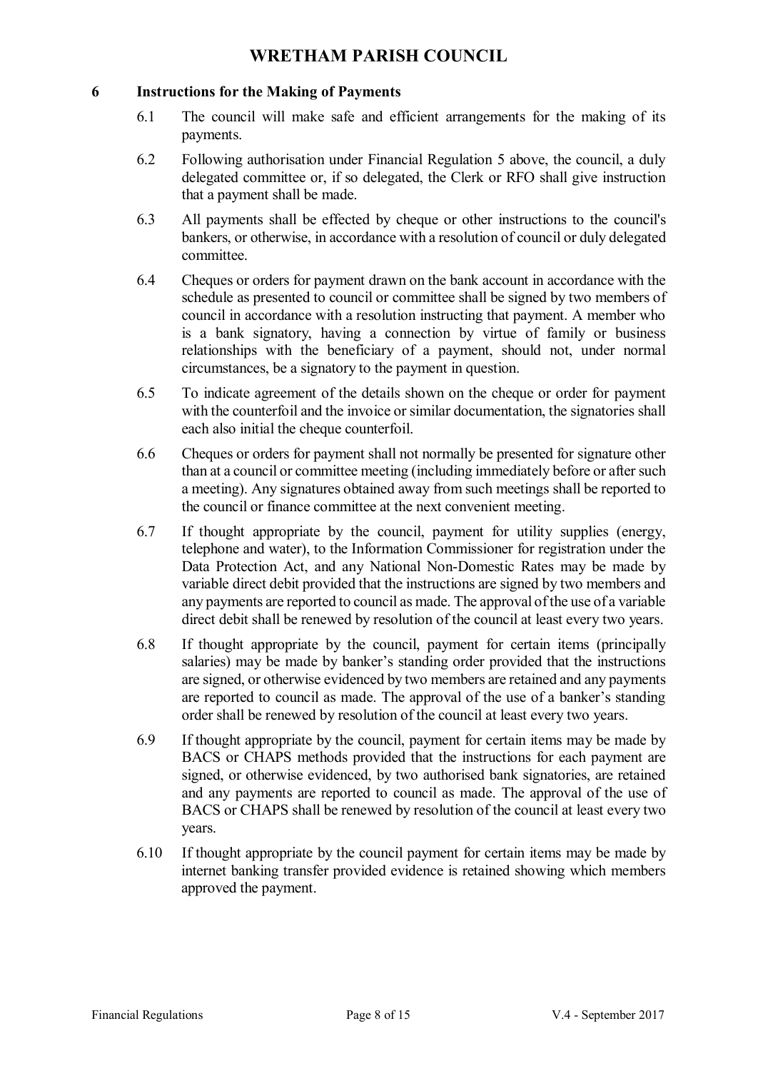### **6 Instructions for the Making of Payments**

- 6.1 The council will make safe and efficient arrangements for the making of its payments.
- 6.2 Following authorisation under Financial Regulation 5 above, the council, a duly delegated committee or, if so delegated, the Clerk or RFO shall give instruction that a payment shall be made.
- 6.3 All payments shall be effected by cheque or other instructions to the council's bankers, or otherwise, in accordance with a resolution of council or duly delegated committee.
- 6.4 Cheques or orders for payment drawn on the bank account in accordance with the schedule as presented to council or committee shall be signed by two members of council in accordance with a resolution instructing that payment. A member who is a bank signatory, having a connection by virtue of family or business relationships with the beneficiary of a payment, should not, under normal circumstances, be a signatory to the payment in question.
- 6.5 To indicate agreement of the details shown on the cheque or order for payment with the counterfoil and the invoice or similar documentation, the signatories shall each also initial the cheque counterfoil.
- 6.6 Cheques or orders for payment shall not normally be presented for signature other than at a council or committee meeting (including immediately before or after such a meeting). Any signatures obtained away from such meetings shall be reported to the council or finance committee at the next convenient meeting.
- 6.7 If thought appropriate by the council, payment for utility supplies (energy, telephone and water), to the Information Commissioner for registration under the Data Protection Act, and any National Non-Domestic Rates may be made by variable direct debit provided that the instructions are signed by two members and any payments are reported to council as made. The approval of the use of a variable direct debit shall be renewed by resolution of the council at least every two years.
- 6.8 If thought appropriate by the council, payment for certain items (principally salaries) may be made by banker's standing order provided that the instructions are signed, or otherwise evidenced by two members are retained and any payments are reported to council as made. The approval of the use of a banker's standing order shall be renewed by resolution of the council at least every two years.
- 6.9 If thought appropriate by the council, payment for certain items may be made by BACS or CHAPS methods provided that the instructions for each payment are signed, or otherwise evidenced, by two authorised bank signatories, are retained and any payments are reported to council as made. The approval of the use of BACS or CHAPS shall be renewed by resolution of the council at least every two years.
- 6.10 If thought appropriate by the council payment for certain items may be made by internet banking transfer provided evidence is retained showing which members approved the payment.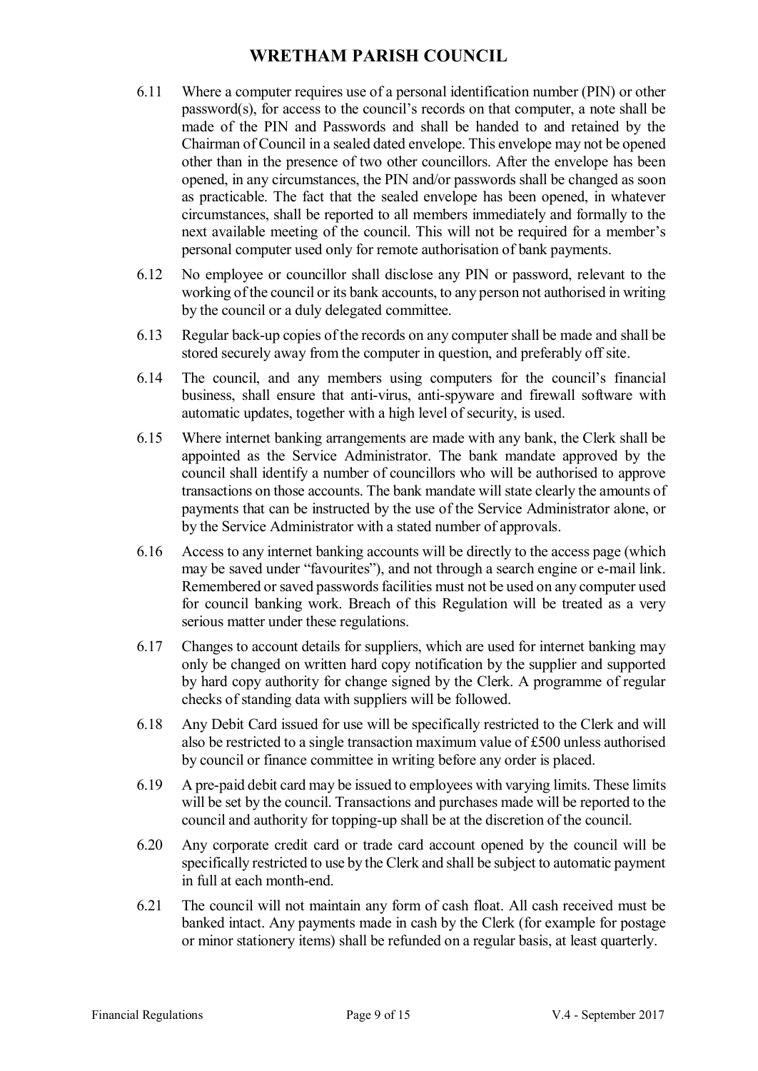- 6.11 Where a computer requires use of a personal identification number (PIN) or other password(s), for access to the council's records on that computer, a note shall be made of the PIN and Passwords and shall be handed to and retained by the Chairman of Council in a sealed dated envelope. This envelope may not be opened other than in the presence of two other councillors. After the envelope has been opened, in any circumstances, the PIN and/or passwords shall be changed as soon as practicable. The fact that the sealed envelope has been opened, in whatever circumstances, shall be reported to all members immediately and formally to the next available meeting of the council. This will not be required for a member's personal computer used only for remote authorisation of bank payments.
- 6.12 No employee or councillor shall disclose any PIN or password, relevant to the working of the council or its bank accounts, to any person not authorised in writing by the council or a duly delegated committee.
- 6.13 Regular back-up copies of the records on any computer shall be made and shall be stored securely away from the computer in question, and preferably off site.
- 6.14 The council, and any members using computers for the council's financial business, shall ensure that anti-virus, anti-spyware and firewall software with automatic updates, together with a high level of security, is used.
- 6.15 Where internet banking arrangements are made with any bank, the Clerk shall be appointed as the Service Administrator. The bank mandate approved by the council shall identify a number of councillors who will be authorised to approve transactions on those accounts. The bank mandate will state clearly the amounts of payments that can be instructed by the use of the Service Administrator alone, or by the Service Administrator with a stated number of approvals.
- 6.16 Access to any internet banking accounts will be directly to the access page (which may be saved under "favourites"), and not through a search engine or e-mail link. Remembered or saved passwords facilities must not be used on any computer used for council banking work. Breach of this Regulation will be treated as a very serious matter under these regulations.
- 6.17 Changes to account details for suppliers, which are used for internet banking may only be changed on written hard copy notification by the supplier and supported by hard copy authority for change signed by the Clerk. A programme of regular checks of standing data with suppliers will be followed.
- 6.18 Any Debit Card issued for use will be specifically restricted to the Clerk and will also be restricted to a single transaction maximum value of £500 unless authorised by council or finance committee in writing before any order is placed.
- 6.19 A pre-paid debit card may be issued to employees with varying limits. These limits will be set by the council. Transactions and purchases made will be reported to the council and authority for topping-up shall be at the discretion of the council.
- 6.20 Any corporate credit card or trade card account opened by the council will be specifically restricted to use by the Clerk and shall be subject to automatic payment in full at each month-end.
- 6.21 The council will not maintain any form of cash float. All cash received must be banked intact. Any payments made in cash by the Clerk (for example for postage or minor stationery items) shall be refunded on a regular basis, at least quarterly.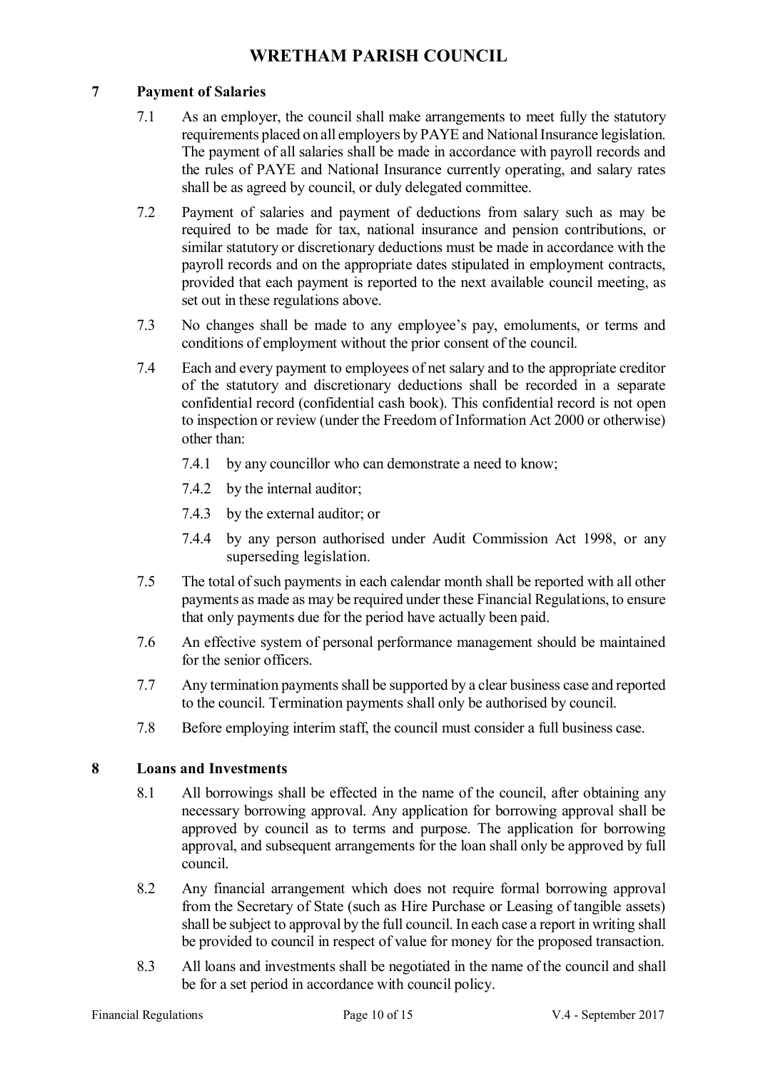### **7 Payment of Salaries**

- 7.1 As an employer, the council shall make arrangements to meet fully the statutory requirements placed on all employers by PAYE and National Insurance legislation. The payment of all salaries shall be made in accordance with payroll records and the rules of PAYE and National Insurance currently operating, and salary rates shall be as agreed by council, or duly delegated committee.
- 7.2 Payment of salaries and payment of deductions from salary such as may be required to be made for tax, national insurance and pension contributions, or similar statutory or discretionary deductions must be made in accordance with the payroll records and on the appropriate dates stipulated in employment contracts, provided that each payment is reported to the next available council meeting, as set out in these regulations above.
- 7.3 No changes shall be made to any employee's pay, emoluments, or terms and conditions of employment without the prior consent of the council.
- 7.4 Each and every payment to employees of net salary and to the appropriate creditor of the statutory and discretionary deductions shall be recorded in a separate confidential record (confidential cash book). This confidential record is not open to inspection or review (under the Freedom of Information Act 2000 or otherwise) other than:
	- 7.4.1 by any councillor who can demonstrate a need to know;
	- 7.4.2 by the internal auditor;
	- 7.4.3 by the external auditor; or
	- 7.4.4 by any person authorised under Audit Commission Act 1998, or any superseding legislation.
- 7.5 The total of such payments in each calendar month shall be reported with all other payments as made as may be required under these Financial Regulations, to ensure that only payments due for the period have actually been paid.
- 7.6 An effective system of personal performance management should be maintained for the senior officers.
- 7.7 Any termination payments shall be supported by a clear business case and reported to the council. Termination payments shall only be authorised by council.
- 7.8 Before employing interim staff, the council must consider a full business case.

### **8 Loans and Investments**

- 8.1 All borrowings shall be effected in the name of the council, after obtaining any necessary borrowing approval. Any application for borrowing approval shall be approved by council as to terms and purpose. The application for borrowing approval, and subsequent arrangements for the loan shall only be approved by full council.
- 8.2 Any financial arrangement which does not require formal borrowing approval from the Secretary of State (such as Hire Purchase or Leasing of tangible assets) shall be subject to approval by the full council. In each case a report in writing shall be provided to council in respect of value for money for the proposed transaction.
- 8.3 All loans and investments shall be negotiated in the name of the council and shall be for a set period in accordance with council policy.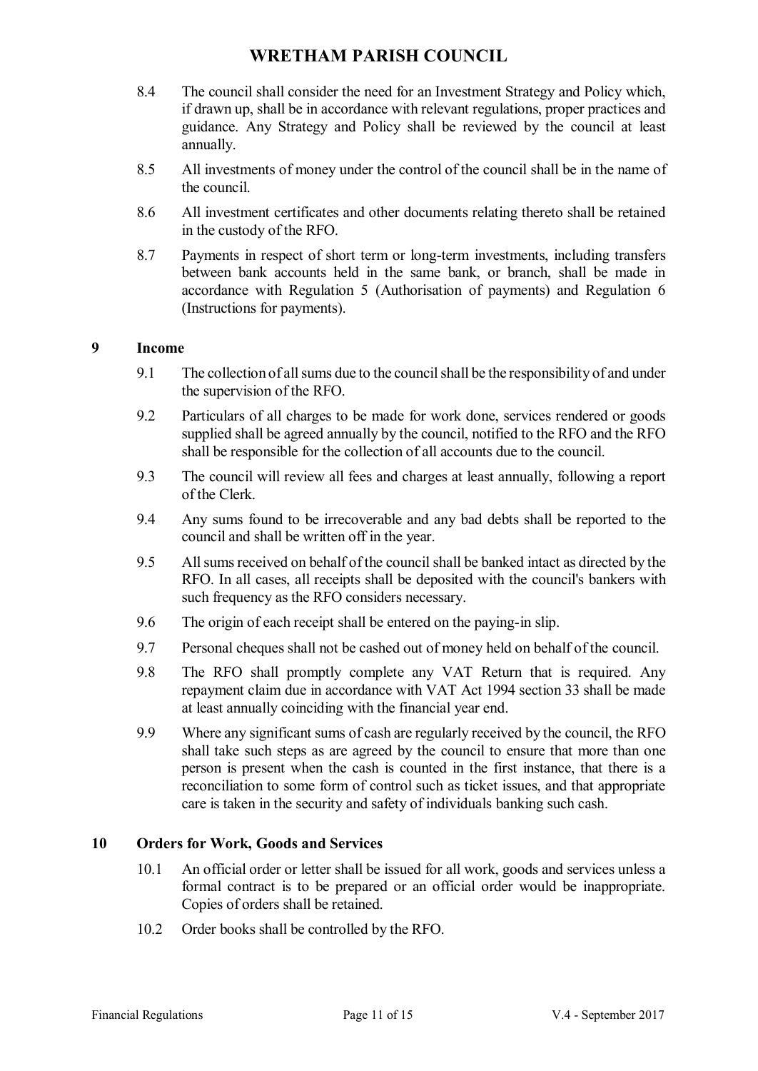- 8.4 The council shall consider the need for an Investment Strategy and Policy which, if drawn up, shall be in accordance with relevant regulations, proper practices and guidance. Any Strategy and Policy shall be reviewed by the council at least annually.
- 8.5 All investments of money under the control of the council shall be in the name of the council.
- 8.6 All investment certificates and other documents relating thereto shall be retained in the custody of the RFO.
- 8.7 Payments in respect of short term or long-term investments, including transfers between bank accounts held in the same bank, or branch, shall be made in accordance with Regulation 5 (Authorisation of payments) and Regulation 6 (Instructions for payments).

#### **9 Income**

- 9.1 The collection of all sums due to the councilshall be the responsibility of and under the supervision of the RFO.
- 9.2 Particulars of all charges to be made for work done, services rendered or goods supplied shall be agreed annually by the council, notified to the RFO and the RFO shall be responsible for the collection of all accounts due to the council.
- 9.3 The council will review all fees and charges at least annually, following a report of the Clerk.
- 9.4 Any sums found to be irrecoverable and any bad debts shall be reported to the council and shall be written off in the year.
- 9.5 All sums received on behalf of the council shall be banked intact as directed by the RFO. In all cases, all receipts shall be deposited with the council's bankers with such frequency as the RFO considers necessary.
- 9.6 The origin of each receipt shall be entered on the paying-in slip.
- 9.7 Personal cheques shall not be cashed out of money held on behalf of the council.
- 9.8 The RFO shall promptly complete any VAT Return that is required. Any repayment claim due in accordance with VAT Act 1994 section 33 shall be made at least annually coinciding with the financial year end.
- 9.9 Where any significant sums of cash are regularly received by the council, the RFO shall take such steps as are agreed by the council to ensure that more than one person is present when the cash is counted in the first instance, that there is a reconciliation to some form of control such as ticket issues, and that appropriate care is taken in the security and safety of individuals banking such cash.

#### **10 Orders for Work, Goods and Services**

- 10.1 An official order or letter shall be issued for all work, goods and services unless a formal contract is to be prepared or an official order would be inappropriate. Copies of orders shall be retained.
- 10.2 Order books shall be controlled by the RFO.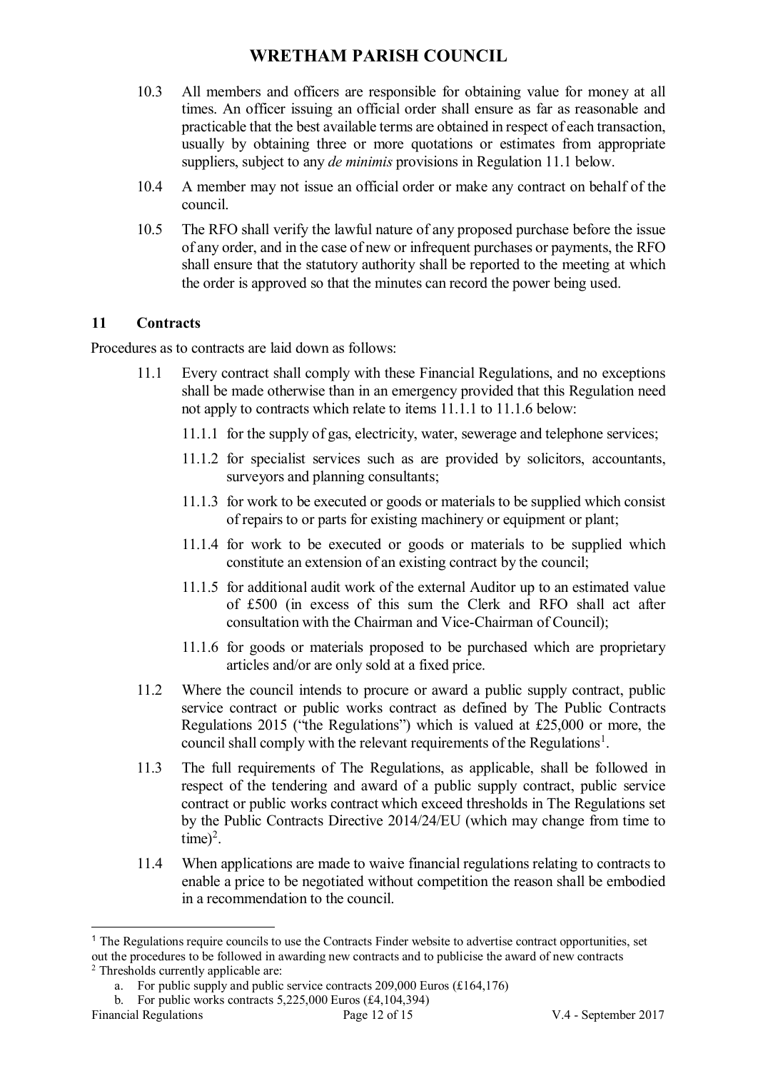- 10.3 All members and officers are responsible for obtaining value for money at all times. An officer issuing an official order shall ensure as far as reasonable and practicable that the best available terms are obtained in respect of each transaction, usually by obtaining three or more quotations or estimates from appropriate suppliers, subject to any *de minimis* provisions in Regulation 11.1 below.
- 10.4 A member may not issue an official order or make any contract on behalf of the council.
- 10.5 The RFO shall verify the lawful nature of any proposed purchase before the issue of any order, and in the case of new or infrequent purchases or payments, the RFO shall ensure that the statutory authority shall be reported to the meeting at which the order is approved so that the minutes can record the power being used.

### **11 Contracts**

Procedures as to contracts are laid down as follows:

- 11.1 Every contract shall comply with these Financial Regulations, and no exceptions shall be made otherwise than in an emergency provided that this Regulation need not apply to contracts which relate to items 11.1.1 to 11.1.6 below:
	- 11.1.1 for the supply of gas, electricity, water, sewerage and telephone services;
	- 11.1.2 for specialist services such as are provided by solicitors, accountants, surveyors and planning consultants;
	- 11.1.3 for work to be executed or goods or materials to be supplied which consist of repairs to or parts for existing machinery or equipment or plant;
	- 11.1.4 for work to be executed or goods or materials to be supplied which constitute an extension of an existing contract by the council;
	- 11.1.5 for additional audit work of the external Auditor up to an estimated value of £500 (in excess of this sum the Clerk and RFO shall act after consultation with the Chairman and Vice-Chairman of Council);
	- 11.1.6 for goods or materials proposed to be purchased which are proprietary articles and/or are only sold at a fixed price.
- 11.2 Where the council intends to procure or award a public supply contract, public service contract or public works contract as defined by The Public Contracts Regulations 2015 ("the Regulations") which is valued at £25,000 or more, the council shall comply with the relevant requirements of the Regulations<sup>1</sup>.
- 11.3 The full requirements of The Regulations, as applicable, shall be followed in respect of the tendering and award of a public supply contract, public service contract or public works contract which exceed thresholds in The Regulations set by the Public Contracts Directive 2014/24/EU (which may change from time to  $time)^2$ .
- 11.4 When applications are made to waive financial regulations relating to contracts to enable a price to be negotiated without competition the reason shall be embodied in a recommendation to the council.

<u>.</u>

<sup>&</sup>lt;sup>1</sup> The Regulations require councils to use the Contracts Finder website to advertise contract opportunities, set out the procedures to be followed in awarding new contracts and to publicise the award of new contracts <sup>2</sup> Thresholds currently applicable are:

a. For public supply and public service contracts  $209,000$  Euros (£164,176) b. For public works contracts  $5,225,000$  Euros (£4,104,394)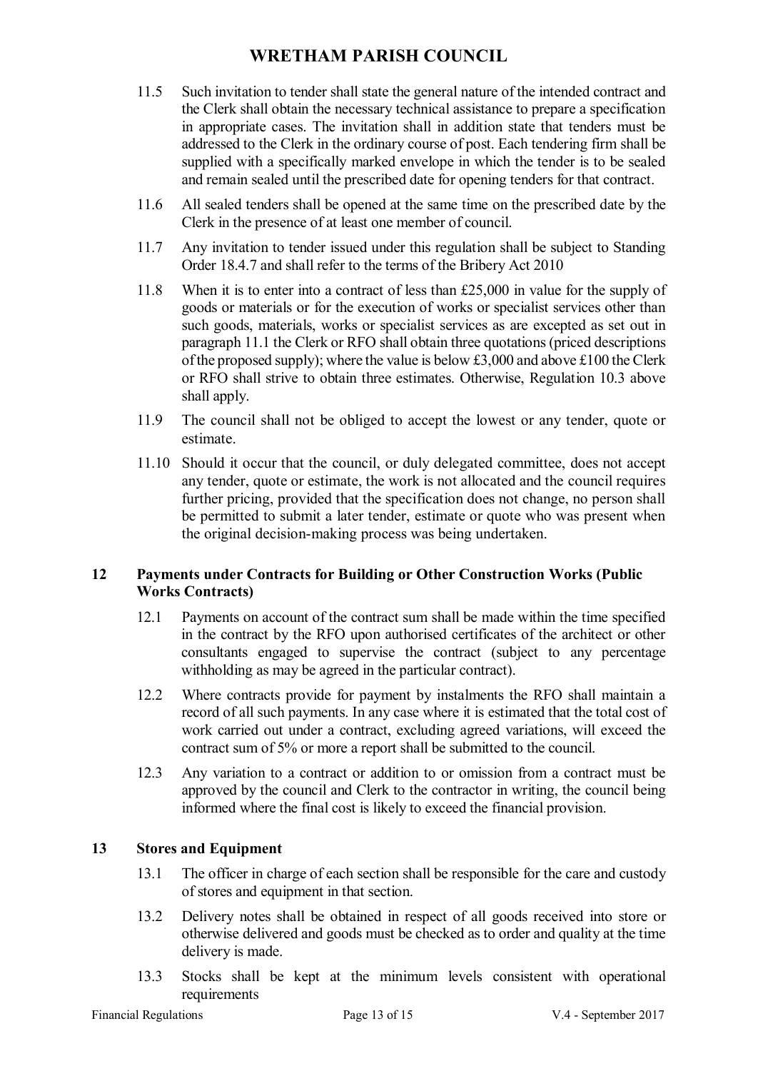- 11.5 Such invitation to tender shall state the general nature of the intended contract and the Clerk shall obtain the necessary technical assistance to prepare a specification in appropriate cases. The invitation shall in addition state that tenders must be addressed to the Clerk in the ordinary course of post. Each tendering firm shall be supplied with a specifically marked envelope in which the tender is to be sealed and remain sealed until the prescribed date for opening tenders for that contract.
- 11.6 All sealed tenders shall be opened at the same time on the prescribed date by the Clerk in the presence of at least one member of council.
- 11.7 Any invitation to tender issued under this regulation shall be subject to Standing Order 18.4.7 and shall refer to the terms of the Bribery Act 2010
- 11.8 When it is to enter into a contract of less than £25,000 in value for the supply of goods or materials or for the execution of works or specialist services other than such goods, materials, works or specialist services as are excepted as set out in paragraph 11.1 the Clerk or RFO shall obtain three quotations (priced descriptions of the proposed supply); where the value is below £3,000 and above £100 the Clerk or RFO shall strive to obtain three estimates. Otherwise, Regulation 10.3 above shall apply.
- 11.9 The council shall not be obliged to accept the lowest or any tender, quote or estimate.
- 11.10 Should it occur that the council, or duly delegated committee, does not accept any tender, quote or estimate, the work is not allocated and the council requires further pricing, provided that the specification does not change, no person shall be permitted to submit a later tender, estimate or quote who was present when the original decision-making process was being undertaken.

### **12 Payments under Contracts for Building or Other Construction Works (Public Works Contracts)**

- 12.1 Payments on account of the contract sum shall be made within the time specified in the contract by the RFO upon authorised certificates of the architect or other consultants engaged to supervise the contract (subject to any percentage withholding as may be agreed in the particular contract).
- 12.2 Where contracts provide for payment by instalments the RFO shall maintain a record of all such payments. In any case where it is estimated that the total cost of work carried out under a contract, excluding agreed variations, will exceed the contract sum of 5% or more a report shall be submitted to the council.
- 12.3 Any variation to a contract or addition to or omission from a contract must be approved by the council and Clerk to the contractor in writing, the council being informed where the final cost is likely to exceed the financial provision.

### **13 Stores and Equipment**

- 13.1 The officer in charge of each section shall be responsible for the care and custody of stores and equipment in that section.
- 13.2 Delivery notes shall be obtained in respect of all goods received into store or otherwise delivered and goods must be checked as to order and quality at the time delivery is made.
- 13.3 Stocks shall be kept at the minimum levels consistent with operational requirements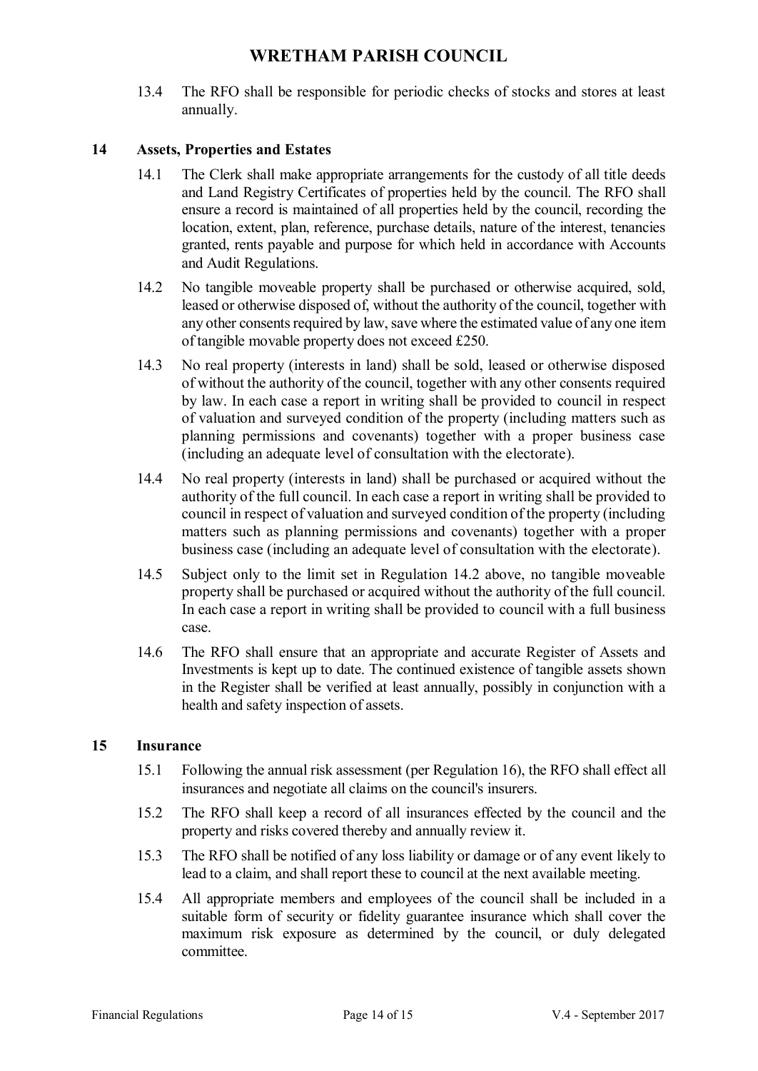13.4 The RFO shall be responsible for periodic checks of stocks and stores at least annually.

### **14 Assets, Properties and Estates**

- 14.1 The Clerk shall make appropriate arrangements for the custody of all title deeds and Land Registry Certificates of properties held by the council. The RFO shall ensure a record is maintained of all properties held by the council, recording the location, extent, plan, reference, purchase details, nature of the interest, tenancies granted, rents payable and purpose for which held in accordance with Accounts and Audit Regulations.
- 14.2 No tangible moveable property shall be purchased or otherwise acquired, sold, leased or otherwise disposed of, without the authority of the council, together with any other consents required by law, save where the estimated value of any one item of tangible movable property does not exceed £250.
- 14.3 No real property (interests in land) shall be sold, leased or otherwise disposed of without the authority of the council, together with any other consents required by law. In each case a report in writing shall be provided to council in respect of valuation and surveyed condition of the property (including matters such as planning permissions and covenants) together with a proper business case (including an adequate level of consultation with the electorate).
- 14.4 No real property (interests in land) shall be purchased or acquired without the authority of the full council. In each case a report in writing shall be provided to council in respect of valuation and surveyed condition of the property (including matters such as planning permissions and covenants) together with a proper business case (including an adequate level of consultation with the electorate).
- 14.5 Subject only to the limit set in Regulation 14.2 above, no tangible moveable property shall be purchased or acquired without the authority of the full council. In each case a report in writing shall be provided to council with a full business case.
- 14.6 The RFO shall ensure that an appropriate and accurate Register of Assets and Investments is kept up to date. The continued existence of tangible assets shown in the Register shall be verified at least annually, possibly in conjunction with a health and safety inspection of assets.

#### **15 Insurance**

- 15.1 Following the annual risk assessment (per Regulation 16), the RFO shall effect all insurances and negotiate all claims on the council's insurers.
- 15.2 The RFO shall keep a record of all insurances effected by the council and the property and risks covered thereby and annually review it.
- 15.3 The RFO shall be notified of any loss liability or damage or of any event likely to lead to a claim, and shall report these to council at the next available meeting.
- 15.4 All appropriate members and employees of the council shall be included in a suitable form of security or fidelity guarantee insurance which shall cover the maximum risk exposure as determined by the council, or duly delegated committee.